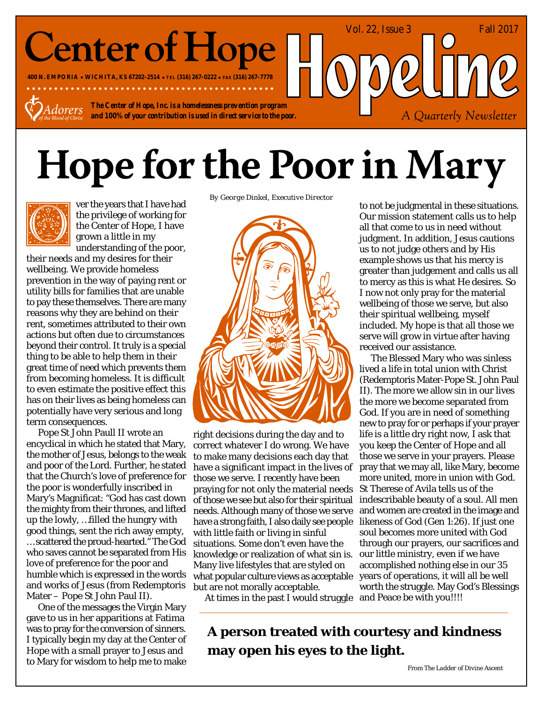## **Center of Hope**

**400 N. EMPORIA WICHITA, KS 67202-2514 TEL (316) 267-0222 FAX (316) 267-7778**

*The Center of Hope, Inc. is a homelessness prevention program* dorers *and 100% of your contribution is used in direct service to the poor.*

# **Hope for the Poor in Mary**



ver the years that I have had the privilege of working for the Center of Hope, I have grown a little in my understanding of the poor,

their needs and my desires for their wellbeing. We provide homeless prevention in the way of paying rent or utility bills for families that are unable to pay these themselves. There are many reasons why they are behind on their rent, sometimes attributed to their own actions but often due to circumstances beyond their control. It truly is a special thing to be able to help them in their great time of need which prevents them from becoming homeless. It is difficult to even estimate the positive effect this has on their lives as being homeless can potentially have very serious and long term consequences.

Pope St John Paull II wrote an encyclical in which he stated that Mary, the mother of Jesus, belongs to the weak and poor of the Lord. Further, he stated that the Church's love of preference for the poor is wonderfully inscribed in Mary's Magnificat: "God has cast down the mighty from their thrones, and lifted up the lowly, …filled the hungry with good things, sent the rich away empty, … scattered the proud-hearted." The God who saves cannot be separated from His love of preference for the poor and humble which is expressed in the words and works of Jesus (from Redemptoris Mater – Pope St John Paul II).

One of the messages the Virgin Mary gave to us in her apparitions at Fatima was to pray for the conversion of sinners. I typically begin my day at the Center of Hope with a small prayer to Jesus and to Mary for wisdom to help me to make

*By George Dinkel, Executive Director*



right decisions during the day and to correct whatever I do wrong. We have to make many decisions each day that have a significant impact in the lives of those we serve. I recently have been praying for not only the material needs of those we see but also for their spiritual needs. Although many of those we serve have a strong faith, I also daily see people with little faith or living in sinful situations. Some don't even have the knowledge or realization of what sin is. Many live lifestyles that are styled on what popular culture views as acceptable but are not morally acceptable.

At times in the past I would struggle

to not be judgmental in these situations. Our mission statement calls us to help all that come to us in need without judgment. In addition, Jesus cautions us to not judge others and by His example shows us that his mercy is greater than judgement and calls us all to mercy as this is what He desires. So I now not only pray for the material wellbeing of those we serve, but also their spiritual wellbeing, myself included. My hope is that all those we serve will grow in virtue after having received our assistance.

Vol. 22, Issue 3 Fall 2017

A Quarterly Newsletter

The Blessed Mary who was sinless lived a life in total union with Christ (Redemptoris Mater-Pope St. John Paul II). The more we allow sin in our lives the more we become separated from God. If you are in need of something new to pray for or perhaps if your prayer life is a little dry right now, I ask that you keep the Center of Hope and all those we serve in your prayers. Please pray that we may all, like Mary, become more united, more in union with God. St Therese of Avila tells us of the indescribable beauty of a soul. All men and women are created in the image and likeness of God (Gen 1:26). If just one soul becomes more united with God through our prayers, our sacrifices and our little ministry, even if we have accomplished nothing else in our 35 years of operations, it will all be well worth the struggle. May God's Blessings and Peace be with you!!!!

**A person treated with courtesy and kindness may open his eyes to the light.**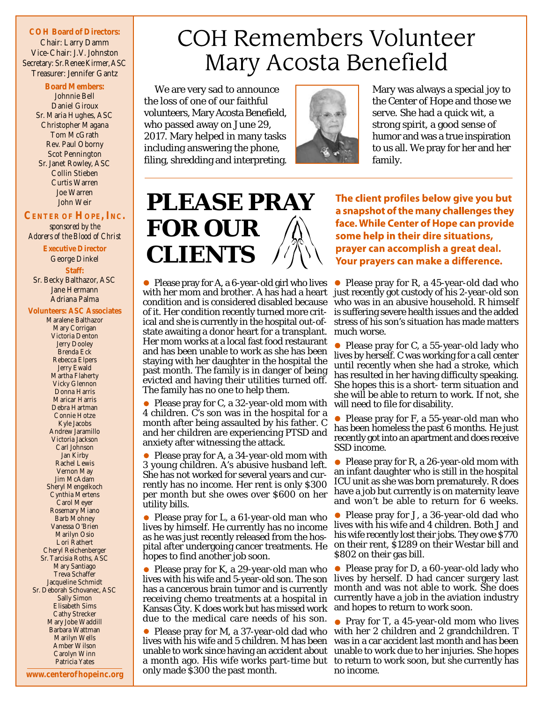### **COH Board of Directors:** Chair: Larry Damm Vice-Chair: J.V. Johnston Secretary: Sr.Renee Kirmer, ASC

Treasurer: Jennifer Gantz

#### **Board Members:** Johnnie Bell Daniel Giroux Sr. Maria Hughes, ASC Christopher Magana Tom McGrath Rev. Paul Oborny Scot Pennington Sr. Janet Rowley, ASC Collin Stieben Curtis Warren Joe Warren John Weir

### **CENTER OF HOPE, INC.**

*sponsored by the Adorers of the Blood of Christ*

**Executive Director** George Dinkel **Staff:** Sr. Becky Balthazor, ASC Jane Hermann

Adriana Palma

### **Volunteers: ASC Associates**

Maralene Balthazor Mary Corrigan Victoria Denton Jerry Dooley Brenda Eck Rebecca Elpers Jerry Ewald Martha Flaherty Vicky Glennon Donna Harris Maricar Harris Debra Hartman Connie Hotze Kyle Jacobs Andrew Jaramillo Victoria Jackson Carl Johnson Jan Kirby Rachel Lewis Vernon May Jim McAdam Sheryl Mengelkoch Cynthia Mertens Carol Meyer Rosemary Miano Barb Mohney Vanessa O'Brien Marilyn Osio Lori Rathert Cheryl Reichenberger Sr. Tarcisia Roths, ASC Mary Santiago Treva Schaffer Jacqueline Schmidt Sr. Deborah Schovanec, ASC Sally Simon Elisabeth Sims Cathy Strecker Mary Jobe Waddill Barbara Wattman Marilyn Wells Amber Wilson Carolyn Winn Patricia Yates

### **COH Remembers Volunteer** Mary Acosta Benefield

We are very sad to announce the loss of one of our faithful volunteers, Mary Acosta Benefield, who passed away on June 29, 2017. Mary helped in many tasks including answering the phone, filing, shredding and interpreting.



Mary was always a special joy to the Center of Hope and those we serve. She had a quick wit, a strong spirit, a good sense of humor and was a true inspiration to us all. We pray for her and her family.

### **PLEASE PRAY FOR OUR CLIENTS**

• Please pray for A, a 6-year-old girl who lives condition and is considered disabled because of it. Her condition recently turned more critical and she is currently in the hospital out-ofstate awaiting a donor heart for a transplant. Her mom works at a local fast food restaurant and has been unable to work as she has been staying with her daughter in the hospital the past month. The family is in danger of being evicted and having their utilities turned off. The family has no one to help them.

• Please pray for C, a 32-year-old mom with 4 children. C's son was in the hospital for a month after being assaulted by his father. C and her children are experiencing PTSD and anxiety after witnessing the attack.

• Please pray for A, a 34-year-old mom with 3 young children. A's abusive husband left. She has not worked for several years and currently has no income. Her rent is only \$300 per month but she owes over \$600 on her utility bills.

• Please pray for L, a 61-year-old man who lives by himself. He currently has no income as he was just recently released from the hospital after undergoing cancer treatments. He hopes to find another job soon.

• Please pray for K, a 29-year-old man who lives with his wife and 5-year-old son. The son has a cancerous brain tumor and is currently receiving chemo treatments at a hospital in Kansas City. K does work but has missed work due to the medical care needs of his son.

Please pray for M, a 37-year-old dad who lives with his wife and 5 children. M has been unable to work since having an accident about a month ago. His wife works part-time but only made \$300 the past month.

The client profiles below give you but a snapshot of the many challenges they face. While Center of Hope can provide some help in their dire situations, prayer can accomplish a great deal. Your prayers can make a difference.

with her mom and brother. A has had a heart just recently got custody of his 2-year-old son • Please pray for R, a 45-year-old dad who who was in an abusive household. R himself is suffering severe health issues and the added stress of his son's situation has made matters much worse.

> • Please pray for C, a 55-year-old lady who lives by herself. C was working for a call center until recently when she had a stroke, which has resulted in her having difficulty speaking. She hopes this is a short- term situation and she will be able to return to work. If not, she will need to file for disability.

> • Please pray for F, a 55-year-old man who has been homeless the past 6 months. He just recently got into an apartment and does receive SSD income.

> • Please pray for R, a 26-year-old mom with an infant daughter who is still in the hospital ICU unit as she was born prematurely. R does have a job but currently is on maternity leave and won't be able to return for 6 weeks.

> • Please pray for J, a 36-year-old dad who lives with his wife and 4 children. Both J and his wife recently lost their jobs. They owe \$770 on their rent, \$1289 on their Westar bill and \$802 on their gas bill.

> • Please pray for D, a 60-year-old lady who lives by herself. D had cancer surgery last month and was not able to work. She does currently have a job in the aviation industry and hopes to return to work soon.

> • Pray for T, a 45-year-old mom who lives with her 2 children and 2 grandchildren. T was in a car accident last month and has been unable to work due to her injuries. She hopes to return to work soon, but she currently has no income.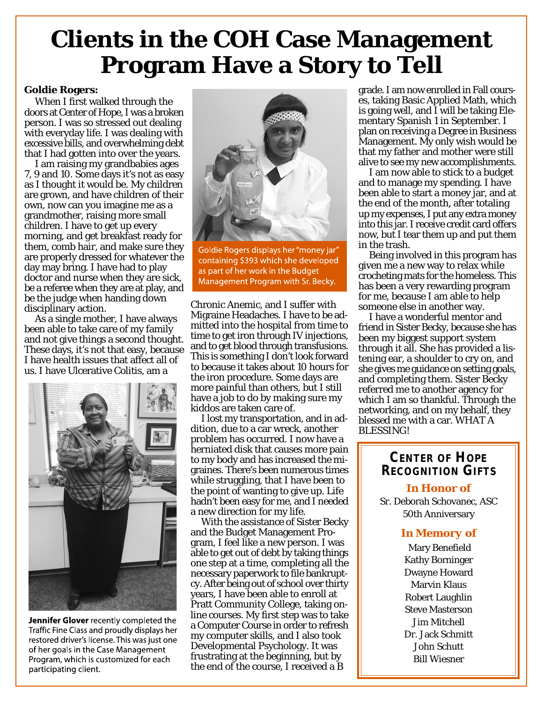### **Clients in the COH Case Management Program Have a Story to Tell**

### **Goldie Rogers:**

When I first walked through the doors at Center of Hope, I was a broken person. I was so stressed out dealing with everyday life. I was dealing with excessive bills, and overwhelming debt that I had gotten into over the years.

I am raising my grandbabies ages 7, 9 and 10. Some days it's not as easy as I thought it would be. My children are grown, and have children of their own, now can you imagine me as a grandmother, raising more small children. I have to get up every morning, and get breakfast ready for them, comb hair, and make sure they are properly dressed for whatever the day may bring. I have had to play doctor and nurse when they are sick, be a referee when they are at play, and be the judge when handing down disciplinary action.

As a single mother, I have always been able to take care of my family and not give things a second thought. These days, it's not that easy, because I have health issues that affect all of us. I have Ulcerative Colitis, am a



Jennifer Glover recently completed the Traffic Fine Class and proudly displays her restored driver's license. This was just one of her goals in the Case Management Program, which is customized for each participating client.



Goldie Rogers displays her "money jar" containing \$393 which she developed as part of her work in the Budget Management Program with Sr. Becky.

Chronic Anemic, and I suffer with Migraine Headaches. I have to be admitted into the hospital from time to time to get iron through IV injections, and to get blood through transfusions. This is something I don't look forward to because it takes about 10 hours for the iron procedure. Some days are more painful than others, but I still have a job to do by making sure my kiddos are taken care of.

I lost my transportation, and in addition, due to a car wreck, another problem has occurred. I now have a herniated disk that causes more pain to my body and has increased the migraines. There's been numerous times while struggling, that I have been to the point of wanting to give up. Life hadn't been easy for me, and I needed a new direction for my life.

With the assistance of Sister Becky and the Budget Management Program, I feel like a new person. I was able to get out of debt by taking things one step at a time, completing all the necessary paperwork to file bankruptcy. After being out of school over thirty years, I have been able to enroll at Pratt Community College, taking online courses. My first step was to take a Computer Course in order to refresh my computer skills, and I also took Developmental Psychology. It was frustrating at the beginning, but by the end of the course, I received a B

grade. I am now enrolled in Fall courses, taking Basic Applied Math, which is going well, and I will be taking Elementary Spanish 1 in September. I plan on receiving a Degree in Business Management. My only wish would be that my father and mother were still alive to see my new accomplishments.

I am now able to stick to a budget and to manage my spending. I have been able to start a money jar, and at the end of the month, after totaling up my expenses, I put any extra money into this jar. I receive credit card offers now, but I tear them up and put them in the trash.

Being involved in this program has given me a new way to relax while crocheting mats for the homeless. This has been a very rewarding program for me, because I am able to help someone else in another way.

I have a wonderful mentor and friend in Sister Becky, because she has been my biggest support system through it all. She has provided a listening ear, a shoulder to cry on, and she gives me guidance on setting goals, and completing them. Sister Becky referred me to another agency for which I am so thankful. Through the networking, and on my behalf, they blessed me with a car. WHAT A BLESSING!

### **CENTER OF HOPE RECOGNITION GIFTS**

Sr. Deborah Schovanec, ASC 50th Anniversary *In Honor of*

### *In Memory of*

 Mary Benefield Kathy Borninger Dwayne Howard Marvin Klaus Robert Laughlin Steve Masterson Jim Mitchell Dr. Jack Schmitt John Schutt Bill Wiesner